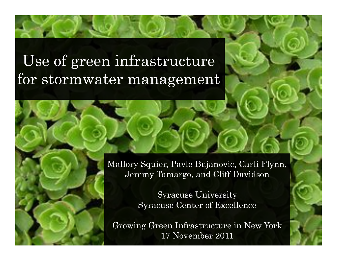### Use of green infrastructure for stormwater management

Mallory Squier, Pavle Bujanovic, Carli Flynn, Jeremy Tamargo, and Cliff Davidson

> Syracuse University Syracuse Center of Excellence

Growing Green Infrastructure in New York 17 November 2011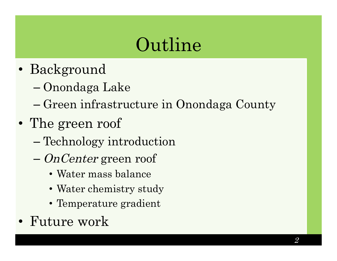### Outline

- Background
	- Onondaga Lake
	- Green infrastructure in Onondaga County
- The green roof
	- Technology introduction
	- OnCenter green roof
		- Water mass balance
		- Water chemistry study
		- Temperature gradient
- Future work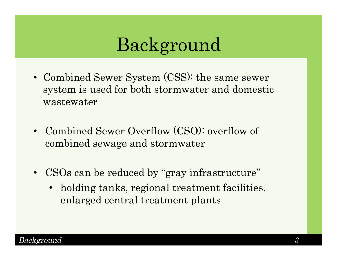### Background

- Combined Sewer System (CSS): the same sewer system is used for both stormwater and domestic wastewater
- Combined Sewer Overflow (CSO): overflow of combined sewage and stormwater
- CSOs can be reduced by "gray infrastructure"
	- holding tanks, regional treatment facilities, enlarged central treatment plants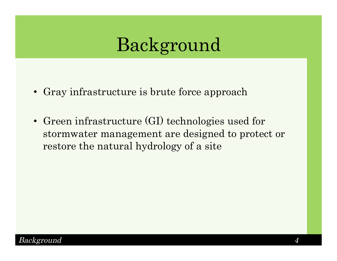### Background

- Gray infrastructure is brute force approach
- Green infrastructure (GI) technologies used for stormwater management are designed to protect or restore the natural hydrology of a site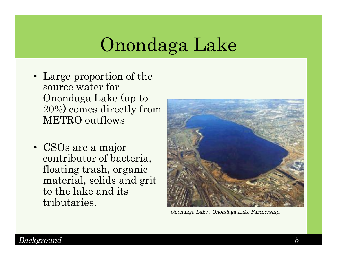### Onondaga Lake

- Large proportion of the source water for Onondaga Lake (up to 20%) comes directly from METRO outflows
- CSOs are a major contributor of bacteria, floating trash, organic material, solids and grit to the lake and its tributaries.



Onondaga Lake , Onondaga Lake Partnership.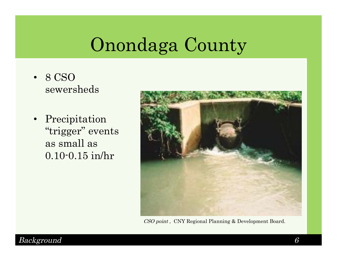### Onondaga County

- 8 CSO sewersheds
- Precipitation "trigger" events as small as 0.10-0.15 in/hr



CSO point , CNY Regional Planning & Development Board.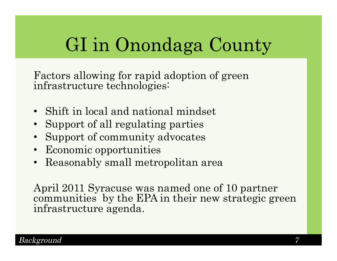# GI in Onondaga County

Factors allowing for rapid adoption of green infrastructure technologies:

- Shift in local and national mindset
- Support of all regulating parties
- Support of community advocates
- Economic opportunities
- Reasonably small metropolitan area

April 2011 Syracuse was named one of 10 partner communities by the EPA in their new strategic green infrastructure agenda.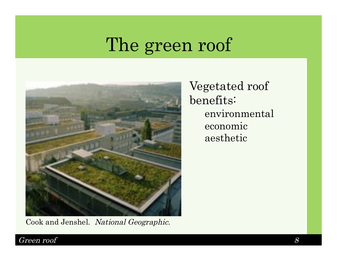### The green roof



Cook and Jenshel. National Geographic.

Vegetated roof benefits: environmental economic aesthetic

### Green roof 8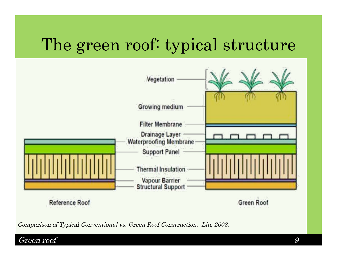### The green roof: typical structure



Comparison of Typical Conventional vs. Green Roof Construction. Liu, 2003.

Green roof 9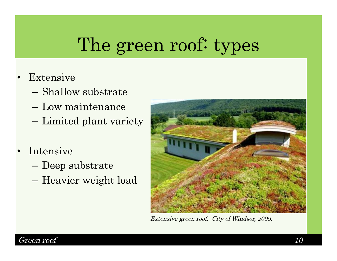### The green roof: types

- **Extensive** 
	- Shallow substrate
	- Low maintenance
	- Limited plant variety
- **Intensive** 
	- Deep substrate
	- Heavier weight load



Extensive green roof. City of Windsor, 2009.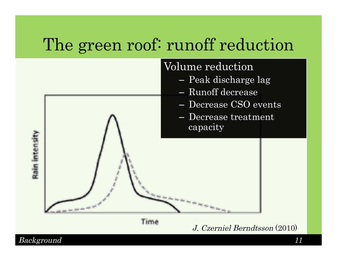### The green roof: runoff reduction



Time

J. Czerniel Berndtsson (2010)

Background 11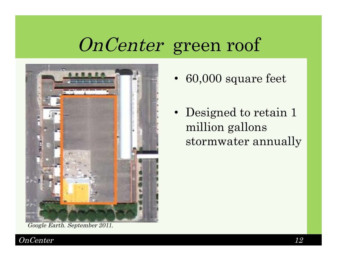## OnCenter green roof



- 60,000 square feet
- Designed to retain 1 million gallons stormwater annually

Google Earth. September 2011.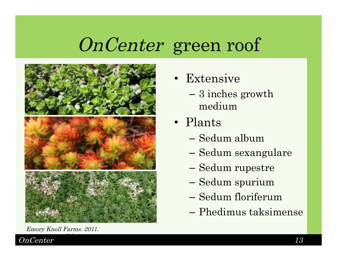## OnCenter green roof



Emory Knoll Farms. 2011.

### • Extensive

- 3 inches growth medium
- Plants
	- Sedum album
	- Sedum sexangulare
	- Sedum rupestre
	- Sedum spurium
	- Sedum floriferum
	- Phedimus taksimense

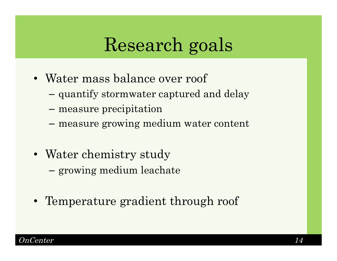### Research goals

- Water mass balance over roof
	- quantify stormwater captured and delay
	- measure precipitation
	- measure growing medium water content
- Water chemistry study
	- growing medium leachate
- Temperature gradient through roof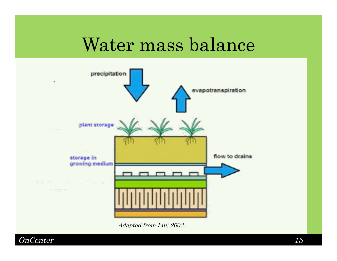### Water mass balance



Adapted from Liu, 2003.

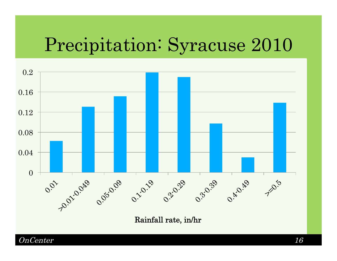### Precipitation: Syracuse 2010

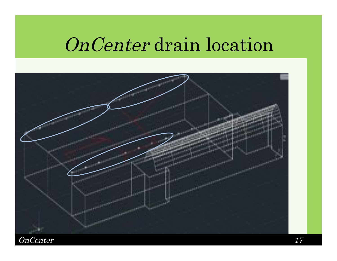### OnCenter drain location



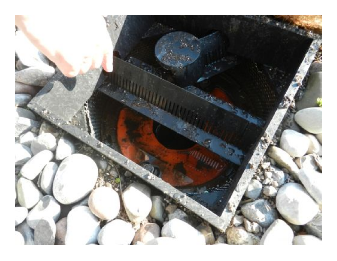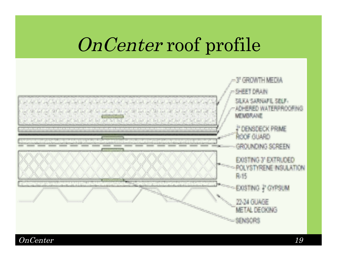### OnCenter roof profile



#### OnCenter 19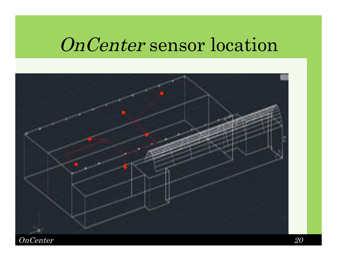### OnCenter sensor location



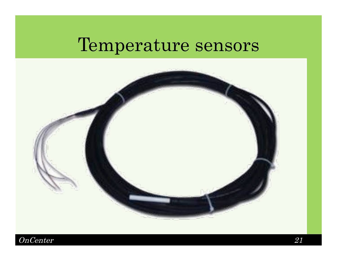### Temperature sensors



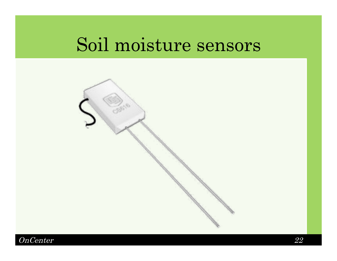### Soil moisture sensors



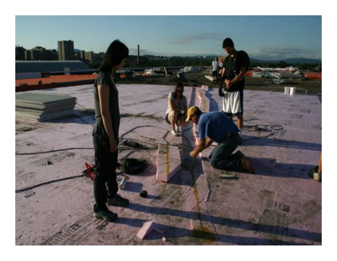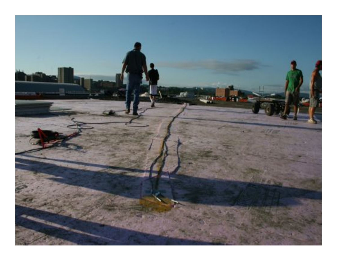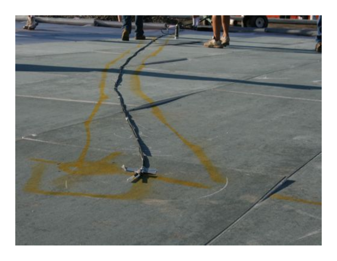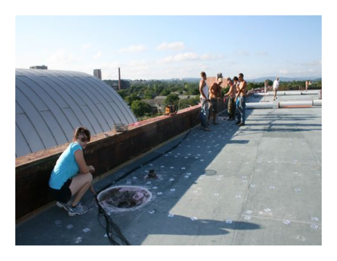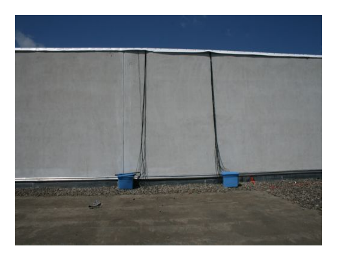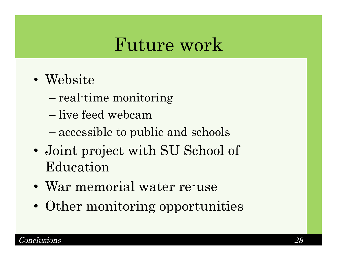### Future work

- Website
	- real-time monitoring
	- live feed webcam
	- accessible to public and schools
- Joint project with SU School of Education
- War memorial water re-use
- Other monitoring opportunities